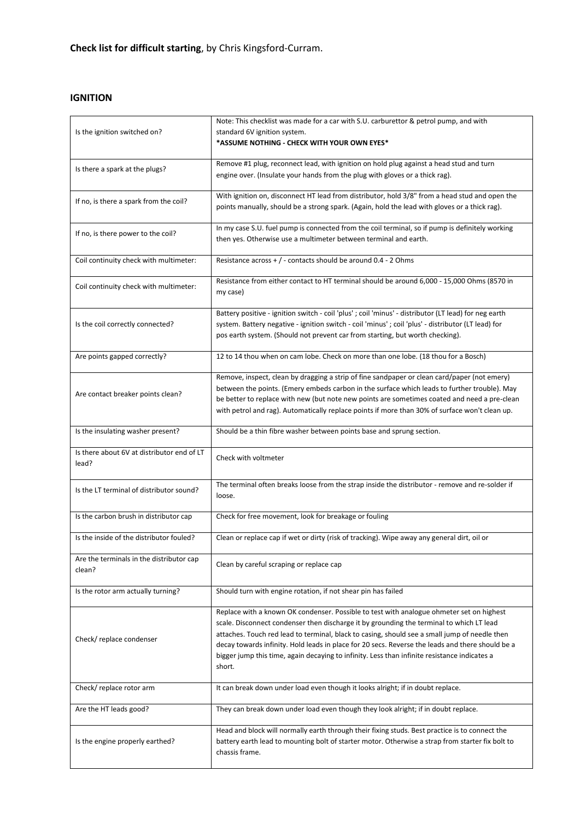**Check list for difficult starting**, by Chris Kingsford-Curram.

### **IGNITION**

| Is the ignition switched on?                        | Note: This checklist was made for a car with S.U. carburettor & petrol pump, and with<br>standard 6V ignition system.<br>*ASSUME NOTHING - CHECK WITH YOUR OWN EYES*                                                                                                                                                                                                                                                                                                                                |
|-----------------------------------------------------|-----------------------------------------------------------------------------------------------------------------------------------------------------------------------------------------------------------------------------------------------------------------------------------------------------------------------------------------------------------------------------------------------------------------------------------------------------------------------------------------------------|
| Is there a spark at the plugs?                      | Remove #1 plug, reconnect lead, with ignition on hold plug against a head stud and turn<br>engine over. (Insulate your hands from the plug with gloves or a thick rag).                                                                                                                                                                                                                                                                                                                             |
| If no, is there a spark from the coil?              | With ignition on, disconnect HT lead from distributor, hold 3/8" from a head stud and open the<br>points manually, should be a strong spark. (Again, hold the lead with gloves or a thick rag).                                                                                                                                                                                                                                                                                                     |
| If no, is there power to the coil?                  | In my case S.U. fuel pump is connected from the coil terminal, so if pump is definitely working<br>then yes. Otherwise use a multimeter between terminal and earth.                                                                                                                                                                                                                                                                                                                                 |
| Coil continuity check with multimeter:              | Resistance across + / - contacts should be around 0.4 - 2 Ohms                                                                                                                                                                                                                                                                                                                                                                                                                                      |
| Coil continuity check with multimeter:              | Resistance from either contact to HT terminal should be around 6,000 - 15,000 Ohms (8570 in<br>my case)                                                                                                                                                                                                                                                                                                                                                                                             |
| Is the coil correctly connected?                    | Battery positive - ignition switch - coil 'plus' ; coil 'minus' - distributor (LT lead) for neg earth<br>system. Battery negative - ignition switch - coil 'minus' ; coil 'plus' - distributor (LT lead) for<br>pos earth system. (Should not prevent car from starting, but worth checking).                                                                                                                                                                                                       |
| Are points gapped correctly?                        | 12 to 14 thou when on cam lobe. Check on more than one lobe. (18 thou for a Bosch)                                                                                                                                                                                                                                                                                                                                                                                                                  |
| Are contact breaker points clean?                   | Remove, inspect, clean by dragging a strip of fine sandpaper or clean card/paper (not emery)<br>between the points. (Emery embeds carbon in the surface which leads to further trouble). May<br>be better to replace with new (but note new points are sometimes coated and need a pre-clean<br>with petrol and rag). Automatically replace points if more than 30% of surface won't clean up.                                                                                                      |
| Is the insulating washer present?                   | Should be a thin fibre washer between points base and sprung section.                                                                                                                                                                                                                                                                                                                                                                                                                               |
| Is there about 6V at distributor end of LT<br>lead? | Check with voltmeter                                                                                                                                                                                                                                                                                                                                                                                                                                                                                |
| Is the LT terminal of distributor sound?            | The terminal often breaks loose from the strap inside the distributor - remove and re-solder if<br>loose.                                                                                                                                                                                                                                                                                                                                                                                           |
| Is the carbon brush in distributor cap              | Check for free movement, look for breakage or fouling                                                                                                                                                                                                                                                                                                                                                                                                                                               |
| Is the inside of the distributor fouled?            | Clean or replace cap if wet or dirty (risk of tracking). Wipe away any general dirt, oil or                                                                                                                                                                                                                                                                                                                                                                                                         |
| Are the terminals in the distributor cap<br>clean?  | Clean by careful scraping or replace cap                                                                                                                                                                                                                                                                                                                                                                                                                                                            |
| Is the rotor arm actually turning?                  | Should turn with engine rotation, if not shear pin has failed                                                                                                                                                                                                                                                                                                                                                                                                                                       |
| Check/replace condenser                             | Replace with a known OK condenser. Possible to test with analogue ohmeter set on highest<br>scale. Disconnect condenser then discharge it by grounding the terminal to which LT lead<br>attaches. Touch red lead to terminal, black to casing, should see a small jump of needle then<br>decay towards infinity. Hold leads in place for 20 secs. Reverse the leads and there should be a<br>bigger jump this time, again decaying to infinity. Less than infinite resistance indicates a<br>short. |
| Check/replace rotor arm                             | It can break down under load even though it looks alright; if in doubt replace.                                                                                                                                                                                                                                                                                                                                                                                                                     |
| Are the HT leads good?                              | They can break down under load even though they look alright; if in doubt replace.                                                                                                                                                                                                                                                                                                                                                                                                                  |
| Is the engine properly earthed?                     | Head and block will normally earth through their fixing studs. Best practice is to connect the<br>battery earth lead to mounting bolt of starter motor. Otherwise a strap from starter fix bolt to<br>chassis frame.                                                                                                                                                                                                                                                                                |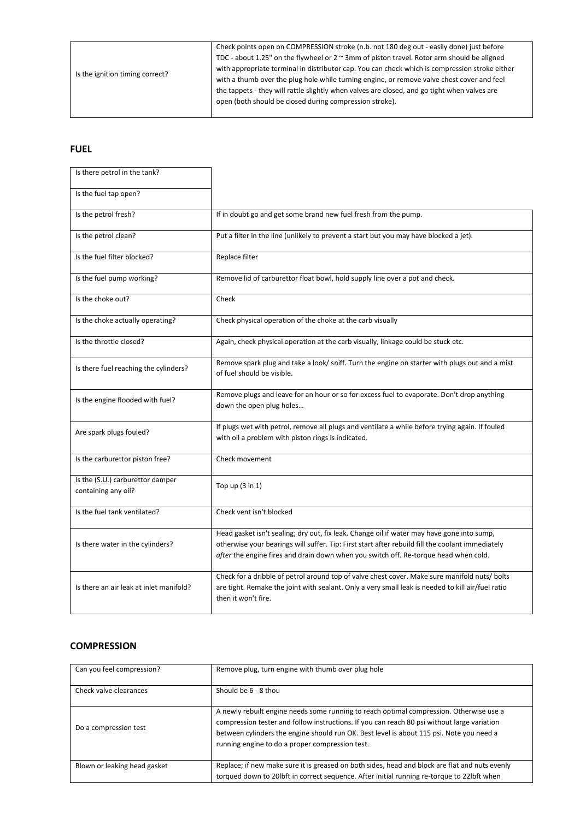| Is the ignition timing correct? | Check points open on COMPRESSION stroke (n.b. not 180 deg out - easily done) just before            |
|---------------------------------|-----------------------------------------------------------------------------------------------------|
|                                 | TDC - about 1.25" on the flywheel or $2 \approx 3$ mm of piston travel. Rotor arm should be aligned |
|                                 | with appropriate terminal in distributor cap. You can check which is compression stroke either      |
|                                 | with a thumb over the plug hole while turning engine, or remove valve chest cover and feel          |
|                                 | the tappets - they will rattle slightly when valves are closed, and go tight when valves are        |
|                                 | open (both should be closed during compression stroke).                                             |
|                                 |                                                                                                     |

#### **FUEL**

| Is there petrol in the tank?                            |                                                                                                                                                                                                                                                                                        |
|---------------------------------------------------------|----------------------------------------------------------------------------------------------------------------------------------------------------------------------------------------------------------------------------------------------------------------------------------------|
| Is the fuel tap open?                                   |                                                                                                                                                                                                                                                                                        |
| Is the petrol fresh?                                    | If in doubt go and get some brand new fuel fresh from the pump.                                                                                                                                                                                                                        |
| Is the petrol clean?                                    | Put a filter in the line (unlikely to prevent a start but you may have blocked a jet).                                                                                                                                                                                                 |
| Is the fuel filter blocked?                             | Replace filter                                                                                                                                                                                                                                                                         |
| Is the fuel pump working?                               | Remove lid of carburettor float bowl, hold supply line over a pot and check.                                                                                                                                                                                                           |
| Is the choke out?                                       | Check                                                                                                                                                                                                                                                                                  |
| Is the choke actually operating?                        | Check physical operation of the choke at the carb visually                                                                                                                                                                                                                             |
| Is the throttle closed?                                 | Again, check physical operation at the carb visually, linkage could be stuck etc.                                                                                                                                                                                                      |
| Is there fuel reaching the cylinders?                   | Remove spark plug and take a look/ sniff. Turn the engine on starter with plugs out and a mist<br>of fuel should be visible.                                                                                                                                                           |
| Is the engine flooded with fuel?                        | Remove plugs and leave for an hour or so for excess fuel to evaporate. Don't drop anything<br>down the open plug holes                                                                                                                                                                 |
| Are spark plugs fouled?                                 | If plugs wet with petrol, remove all plugs and ventilate a while before trying again. If fouled<br>with oil a problem with piston rings is indicated.                                                                                                                                  |
| Is the carburettor piston free?                         | Check movement                                                                                                                                                                                                                                                                         |
| Is the (S.U.) carburettor damper<br>containing any oil? | Top up $(3 \text{ in } 1)$                                                                                                                                                                                                                                                             |
| Is the fuel tank ventilated?                            | Check vent isn't blocked                                                                                                                                                                                                                                                               |
| Is there water in the cylinders?                        | Head gasket isn't sealing; dry out, fix leak. Change oil if water may have gone into sump,<br>otherwise your bearings will suffer. Tip: First start after rebuild fill the coolant immediately<br>after the engine fires and drain down when you switch off. Re-torque head when cold. |
| Is there an air leak at inlet manifold?                 | Check for a dribble of petrol around top of valve chest cover. Make sure manifold nuts/ bolts<br>are tight. Remake the joint with sealant. Only a very small leak is needed to kill air/fuel ratio<br>then it won't fire.                                                              |

## **COMPRESSION**

| Can you feel compression?    | Remove plug, turn engine with thumb over plug hole                                                                                                                                                                                                                                                                                    |
|------------------------------|---------------------------------------------------------------------------------------------------------------------------------------------------------------------------------------------------------------------------------------------------------------------------------------------------------------------------------------|
| Check valve clearances       | Should be 6 - 8 thou                                                                                                                                                                                                                                                                                                                  |
| Do a compression test        | A newly rebuilt engine needs some running to reach optimal compression. Otherwise use a<br>compression tester and follow instructions. If you can reach 80 psi without large variation<br>between cylinders the engine should run OK. Best level is about 115 psi. Note you need a<br>running engine to do a proper compression test. |
| Blown or leaking head gasket | Replace; if new make sure it is greased on both sides, head and block are flat and nuts evenly<br>torqued down to 20lbft in correct sequence. After initial running re-torque to 22lbft when                                                                                                                                          |